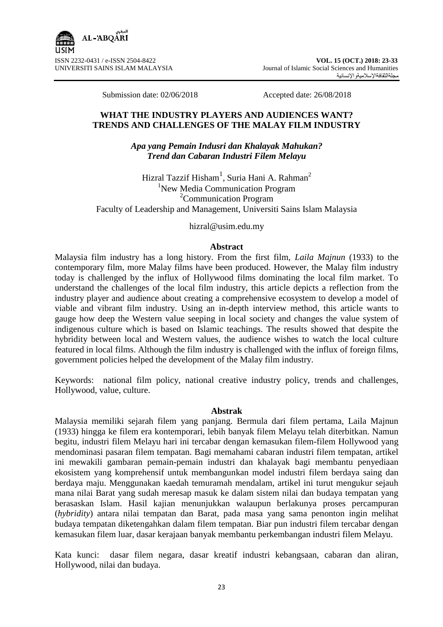

ISSN 2232-0431 / e-ISSN 2504-8422 **VOL. 15 (OCT.) 2018: 23-33** Journal of Islamic Social Sciences and Humanities مجلةالثقافةاإلسالميةواإلنسانية

Submission date: 02/06/2018 Accepted date: 26/08/2018

## **WHAT THE INDUSTRY PLAYERS AND AUDIENCES WANT? TRENDS AND CHALLENGES OF THE MALAY FILM INDUSTRY**

*Apa yang Pemain Indusri dan Khalayak Mahukan? Trend dan Cabaran Industri Filem Melayu*

Hizral Tazzif Hisham<sup>1</sup>, Suria Hani A. Rahman<sup>2</sup> <sup>1</sup>New Media Communication Program <sup>2</sup>Communication Program Faculty of Leadership and Management, Universiti Sains Islam Malaysia

hizral@usim.edu.my

### **Abstract**

Malaysia film industry has a long history. From the first film, *Laila Majnun* (1933) to the contemporary film, more Malay films have been produced. However, the Malay film industry today is challenged by the influx of Hollywood films dominating the local film market. To understand the challenges of the local film industry, this article depicts a reflection from the industry player and audience about creating a comprehensive ecosystem to develop a model of viable and vibrant film industry. Using an in-depth interview method, this article wants to gauge how deep the Western value seeping in local society and changes the value system of indigenous culture which is based on Islamic teachings. The results showed that despite the hybridity between local and Western values, the audience wishes to watch the local culture featured in local films. Although the film industry is challenged with the influx of foreign films, government policies helped the development of the Malay film industry.

Keywords: national film policy, national creative industry policy, trends and challenges, Hollywood, value, culture.

### **Abstrak**

Malaysia memiliki sejarah filem yang panjang. Bermula dari filem pertama, Laila Majnun (1933) hingga ke filem era kontemporari, lebih banyak filem Melayu telah diterbitkan. Namun begitu, industri filem Melayu hari ini tercabar dengan kemasukan filem-filem Hollywood yang mendominasi pasaran filem tempatan. Bagi memahami cabaran industri filem tempatan, artikel ini mewakili gambaran pemain-pemain industri dan khalayak bagi membantu penyediaan ekosistem yang komprehensif untuk membangunkan model industri filem berdaya saing dan berdaya maju. Menggunakan kaedah temuramah mendalam, artikel ini turut mengukur sejauh mana nilai Barat yang sudah meresap masuk ke dalam sistem nilai dan budaya tempatan yang berasaskan Islam. Hasil kajian menunjukkan walaupun berlakunya proses percampuran (*hybridity*) antara nilai tempatan dan Barat, pada masa yang sama penonton ingin melihat budaya tempatan diketengahkan dalam filem tempatan. Biar pun industri filem tercabar dengan kemasukan filem luar, dasar kerajaan banyak membantu perkembangan industri filem Melayu.

Kata kunci: dasar filem negara, dasar kreatif industri kebangsaan, cabaran dan aliran, Hollywood, nilai dan budaya.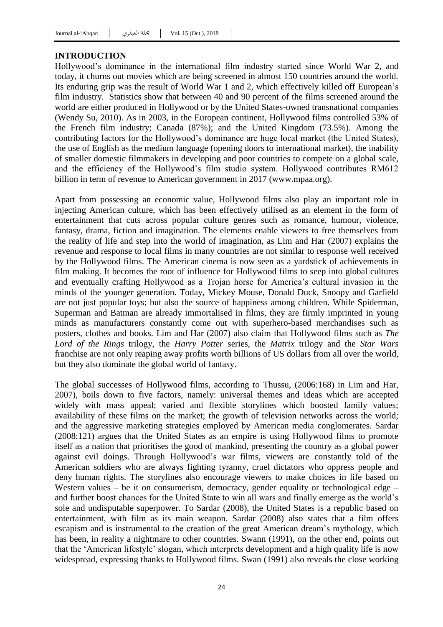## **INTRODUCTION**

Hollywood's dominance in the international film industry started since World War 2, and today, it churns out movies which are being screened in almost 150 countries around the world. Its enduring grip was the result of World War 1 and 2, which effectively killed off European"s film industry. Statistics show that between 40 and 90 percent of the films screened around the world are either produced in Hollywood or by the United States-owned transnational companies (Wendy Su, 2010). As in 2003, in the European continent, Hollywood films controlled 53% of the French film industry; Canada (87%); and the United Kingdom (73.5%). Among the contributing factors for the Hollywood"s dominance are huge local market (the United States), the use of English as the medium language (opening doors to international market), the inability of smaller domestic filmmakers in developing and poor countries to compete on a global scale, and the efficiency of the Hollywood"s film studio system. Hollywood contributes RM612 billion in term of revenue to American government in 2017 (www.mpaa.org).

Apart from possessing an economic value, Hollywood films also play an important role in injecting American culture, which has been effectively utilised as an element in the form of entertainment that cuts across popular culture genres such as romance, humour, violence, fantasy, drama, fiction and imagination. The elements enable viewers to free themselves from the reality of life and step into the world of imagination, as Lim and Har (2007) explains the revenue and response to local films in many countries are not similar to response well received by the Hollywood films. The American cinema is now seen as a yardstick of achievements in film making. It becomes the root of influence for Hollywood films to seep into global cultures and eventually crafting Hollywood as a Trojan horse for America"s cultural invasion in the minds of the younger generation. Today, Mickey Mouse, Donald Duck, Snoopy and Garfield are not just popular toys; but also the source of happiness among children. While Spiderman, Superman and Batman are already immortalised in films, they are firmly imprinted in young minds as manufacturers constantly come out with superhero-based merchandises such as posters, clothes and books. Lim and Har (2007) also claim that Hollywood films such as *The Lord of the Rings* trilogy, the *Harry Potter* series, the *Matrix* trilogy and the *Star Wars* franchise are not only reaping away profits worth billions of US dollars from all over the world, but they also dominate the global world of fantasy.

The global successes of Hollywood films, according to Thussu, (2006:168) in Lim and Har, 2007), boils down to five factors, namely: universal themes and ideas which are accepted widely with mass appeal; varied and flexible storylines which boosted family values; availability of these films on the market; the growth of television networks across the world; and the aggressive marketing strategies employed by American media conglomerates. Sardar (2008:121) argues that the United States as an empire is using Hollywood films to promote itself as a nation that prioritises the good of mankind, presenting the country as a global power against evil doings. Through Hollywood"s war films, viewers are constantly told of the American soldiers who are always fighting tyranny, cruel dictators who oppress people and deny human rights. The storylines also encourage viewers to make choices in life based on Western values – be it on consumerism, democracy, gender equality or technological edge – and further boost chances for the United State to win all wars and finally emerge as the world"s sole and undisputable superpower. To Sardar (2008), the United States is a republic based on entertainment, with film as its main weapon. Sardar (2008) also states that a film offers escapism and is instrumental to the creation of the great American dream"s mythology, which has been, in reality a nightmare to other countries. Swann (1991), on the other end, points out that the "American lifestyle" slogan, which interprets development and a high quality life is now widespread, expressing thanks to Hollywood films. Swan (1991) also reveals the close working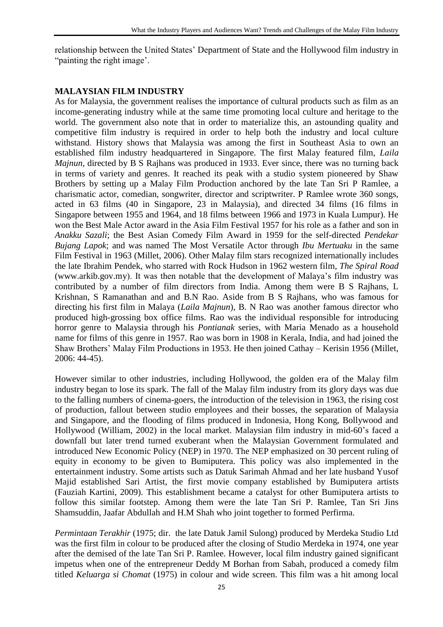relationship between the United States" Department of State and the Hollywood film industry in "painting the right image".

# **MALAYSIAN FILM INDUSTRY**

As for Malaysia, the government realises the importance of cultural products such as film as an income-generating industry while at the same time promoting local culture and heritage to the world. The government also note that in order to materialize this, an astounding quality and competitive film industry is required in order to help both the industry and local culture withstand. History shows that Malaysia was among the first in Southeast Asia to own an established film industry headquartered in Singapore. The first Malay featured film, *Laila Majnun*, directed by B S Rajhans was produced in 1933. Ever since, there was no turning back in terms of variety and genres. It reached its peak with a studio system pioneered by Shaw Brothers by setting up a Malay Film Production anchored by the late Tan Sri P Ramlee, a charismatic actor, comedian, songwriter, director and scriptwriter. P Ramlee wrote 360 songs, acted in 63 films (40 in Singapore, 23 in Malaysia), and directed 34 films (16 films in Singapore between 1955 and 1964, and 18 films between 1966 and 1973 in Kuala Lumpur). He won the Best Male Actor award in the Asia Film Festival 1957 for his role as a father and son in *Anakku Sazali*; the Best Asian Comedy Film Award in 1959 for the self-directed *Pendekar Bujang Lapok*; and was named The Most Versatile Actor through *Ibu Mertuaku* in the same Film Festival in 1963 (Millet, 2006). Other Malay film stars recognized internationally includes the late Ibrahim Pendek, who starred with Rock Hudson in 1962 western film, *The Spiral Road* (www.arkib.gov.my). It was then notable that the development of Malaya"s film industry was contributed by a number of film directors from India. Among them were B S Rajhans, L Krishnan, S Ramanathan and and B.N Rao. Aside from B S Rajhans, who was famous for directing his first film in Malaya (*Laila Majnun*), B. N Rao was another famous director who produced high-grossing box office films. Rao was the individual responsible for introducing horror genre to Malaysia through his *Pontianak* series, with Maria Menado as a household name for films of this genre in 1957. Rao was born in 1908 in Kerala, India, and had joined the Shaw Brothers" Malay Film Productions in 1953. He then joined Cathay – Kerisin 1956 (Millet, 2006: 44-45).

However similar to other industries, including Hollywood, the golden era of the Malay film industry began to lose its spark. The fall of the Malay film industry from its glory days was due to the falling numbers of cinema-goers, the introduction of the television in 1963, the rising cost of production, fallout between studio employees and their bosses, the separation of Malaysia and Singapore, and the flooding of films produced in Indonesia, Hong Kong, Bollywood and Hollywood (William, 2002) in the local market. Malaysian film industry in mid-60"s faced a downfall but later trend turned exuberant when the Malaysian Government formulated and introduced New Economic Policy (NEP) in 1970. The NEP emphasized on 30 percent ruling of equity in economy to be given to Bumiputera. This policy was also implemented in the entertainment industry. Some artists such as Datuk Sarimah Ahmad and her late husband Yusof Majid established Sari Artist, the first movie company established by Bumiputera artists (Fauziah Kartini, 2009). This establishment became a catalyst for other Bumiputera artists to follow this similar footstep. Among them were the late Tan Sri P. Ramlee, Tan Sri Jins Shamsuddin, Jaafar Abdullah and H.M Shah who joint together to formed Perfirma.

*Permintaan Terakhir* (1975; dir. the late Datuk Jamil Sulong) produced by Merdeka Studio Ltd was the first film in colour to be produced after the closing of Studio Merdeka in 1974, one year after the demised of the late Tan Sri P. Ramlee. However, local film industry gained significant impetus when one of the entrepreneur Deddy M Borhan from Sabah, produced a comedy film titled *Keluarga si Chomat* (1975) in colour and wide screen. This film was a hit among local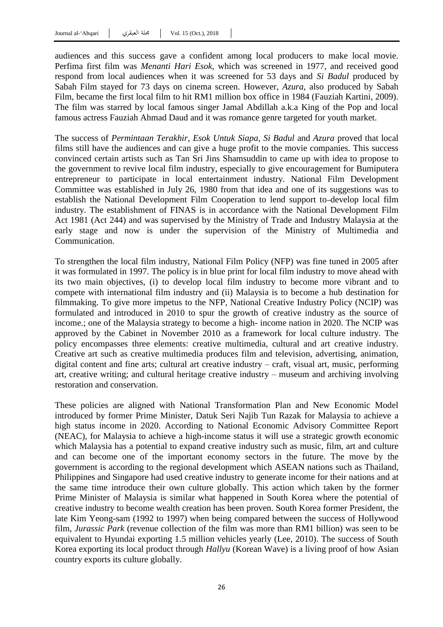audiences and this success gave a confident among local producers to make local movie. Perfima first film was *Menanti Hari Esok*, which was screened in 1977, and received good respond from local audiences when it was screened for 53 days and *Si Badul* produced by Sabah Film stayed for 73 days on cinema screen. However, *Azura*, also produced by Sabah Film, became the first local film to hit RM1 million box office in 1984 (Fauziah Kartini, 2009). The film was starred by local famous singer Jamal Abdillah a.k.a King of the Pop and local famous actress Fauziah Ahmad Daud and it was romance genre targeted for youth market.

The success of *Permintaan Terakhir*, *Esok Untuk Siapa*, *Si Badul* and *Azura* proved that local films still have the audiences and can give a huge profit to the movie companies. This success convinced certain artists such as Tan Sri Jins Shamsuddin to came up with idea to propose to the government to revive local film industry, especially to give encouragement for Bumiputera entrepreneur to participate in local entertainment industry. National Film Development Committee was established in July 26, 1980 from that idea and one of its suggestions was to establish the National Development Film Cooperation to lend support to develop local film industry. The establishment of FINAS is in accordance with the National Development Film Act 1981 (Act 244) and was supervised by the Ministry of Trade and Industry Malaysia at the early stage and now is under the supervision of the Ministry of Multimedia and Communication.

To strengthen the local film industry, National Film Policy (NFP) was fine tuned in 2005 after it was formulated in 1997. The policy is in blue print for local film industry to move ahead with its two main objectives, (i) to develop local film industry to become more vibrant and to compete with international film industry and (ii) Malaysia is to become a hub destination for filmmaking. To give more impetus to the NFP, National Creative Industry Policy (NCIP) was formulated and introduced in 2010 to spur the growth of creative industry as the source of income.; one of the Malaysia strategy to become a high- income nation in 2020. The NCIP was approved by the Cabinet in November 2010 as a framework for local culture industry. The policy encompasses three elements: creative multimedia, cultural and art creative industry. Creative art such as creative multimedia produces film and television, advertising, animation, digital content and fine arts; cultural art creative industry – craft, visual art, music, performing art, creative writing; and cultural heritage creative industry – museum and archiving involving restoration and conservation.

These policies are aligned with National Transformation Plan and New Economic Model introduced by former Prime Minister, Datuk Seri Najib Tun Razak for Malaysia to achieve a high status income in 2020. According to National Economic Advisory Committee Report (NEAC), for Malaysia to achieve a high-income status it will use a strategic growth economic which Malaysia has a potential to expand creative industry such as music, film, art and culture and can become one of the important economy sectors in the future. The move by the government is according to the regional development which ASEAN nations such as Thailand, Philippines and Singapore had used creative industry to generate income for their nations and at the same time introduce their own culture globally. This action which taken by the former Prime Minister of Malaysia is similar what happened in South Korea where the potential of creative industry to become wealth creation has been proven. South Korea former President, the late Kim Yeong-sam (1992 to 1997) when being compared between the success of Hollywood film, *Jurassic Park* (revenue collection of the film was more than RM1 billion) was seen to be equivalent to Hyundai exporting 1.5 million vehicles yearly (Lee, 2010). The success of South Korea exporting its local product through *Hallyu* (Korean Wave) is a living proof of how Asian country exports its culture globally.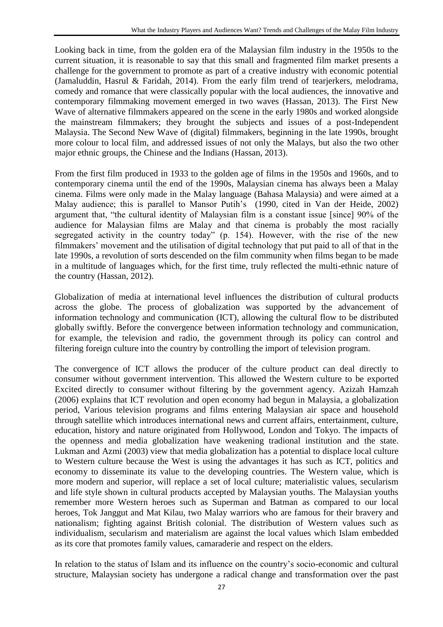Looking back in time, from the golden era of the Malaysian film industry in the 1950s to the current situation, it is reasonable to say that this small and fragmented film market presents a challenge for the government to promote as part of a creative industry with economic potential (Jamaluddin, Hasrul & Faridah, 2014). From the early film trend of tearjerkers, melodrama, comedy and romance that were classically popular with the local audiences, the innovative and contemporary filmmaking movement emerged in two waves (Hassan, 2013). The First New Wave of alternative filmmakers appeared on the scene in the early 1980s and worked alongside the mainstream filmmakers; they brought the subjects and issues of a post-Independent Malaysia. The Second New Wave of (digital) filmmakers, beginning in the late 1990s, brought more colour to local film, and addressed issues of not only the Malays, but also the two other major ethnic groups, the Chinese and the Indians (Hassan, 2013).

From the first film produced in 1933 to the golden age of films in the 1950s and 1960s, and to contemporary cinema until the end of the 1990s, Malaysian cinema has always been a Malay cinema. Films were only made in the Malay language (Bahasa Malaysia) and were aimed at a Malay audience; this is parallel to Mansor Putih's (1990, cited in Van der Heide, 2002) argument that, "the cultural identity of Malaysian film is a constant issue [since] 90% of the audience for Malaysian films are Malay and that cinema is probably the most racially segregated activity in the country today" (p. 154). However, with the rise of the new filmmakers' movement and the utilisation of digital technology that put paid to all of that in the late 1990s, a revolution of sorts descended on the film community when films began to be made in a multitude of languages which, for the first time, truly reflected the multi-ethnic nature of the country (Hassan, 2012).

Globalization of media at international level influences the distribution of cultural products across the globe. The process of globalization was supported by the advancement of information technology and communication (ICT), allowing the cultural flow to be distributed globally swiftly. Before the convergence between information technology and communication, for example, the television and radio, the government through its policy can control and filtering foreign culture into the country by controlling the import of television program.

The convergence of ICT allows the producer of the culture product can deal directly to consumer without government intervention. This allowed the Western culture to be exported Excited directly to consumer without filtering by the government agency. Azizah Hamzah (2006) explains that ICT revolution and open economy had begun in Malaysia, a globalization period, Various television programs and films entering Malaysian air space and household through satellite which introduces international news and current affairs, entertainment, culture, education, history and nature originated from Hollywood, London and Tokyo. The impacts of the openness and media globalization have weakening tradional institution and the state. Lukman and Azmi (2003) view that media globalization has a potential to displace local culture to Western culture because the West is using the advantages it has such as ICT, politics and economy to disseminate its value to the developing countries. The Western value, which is more modern and superior, will replace a set of local culture; materialistic values, secularism and life style shown in cultural products accepted by Malaysian youths. The Malaysian youths remember more Western heroes such as Superman and Batman as compared to our local heroes, Tok Janggut and Mat Kilau, two Malay warriors who are famous for their bravery and nationalism; fighting against British colonial. The distribution of Western values such as individualism, secularism and materialism are against the local values which Islam embedded as its core that promotes family values, camaraderie and respect on the elders.

In relation to the status of Islam and its influence on the country"s socio-economic and cultural structure, Malaysian society has undergone a radical change and transformation over the past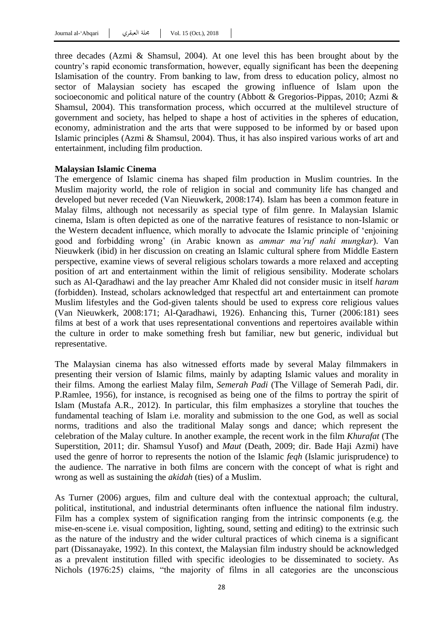three decades (Azmi & Shamsul, 2004). At one level this has been brought about by the country"s rapid economic transformation, however, equally significant has been the deepening Islamisation of the country. From banking to law, from dress to education policy, almost no sector of Malaysian society has escaped the growing influence of Islam upon the socioeconomic and political nature of the country (Abbott & Gregorios-Pippas, 2010; Azmi & Shamsul, 2004). This transformation process, which occurred at the multilevel structure of government and society, has helped to shape a host of activities in the spheres of education, economy, administration and the arts that were supposed to be informed by or based upon Islamic principles (Azmi & Shamsul, 2004). Thus, it has also inspired various works of art and entertainment, including film production.

#### **Malaysian Islamic Cinema**

The emergence of Islamic cinema has shaped film production in Muslim countries. In the Muslim majority world, the role of religion in social and community life has changed and developed but never receded (Van Nieuwkerk, 2008:174). Islam has been a common feature in Malay films, although not necessarily as special type of film genre. In Malaysian Islamic cinema, Islam is often depicted as one of the narrative features of resistance to non-Islamic or the Western decadent influence, which morally to advocate the Islamic principle of "enjoining good and forbidding wrong" (in Arabic known as *ammar ma'ruf nahi mungkar*). Van Nieuwkerk (ibid) in her discussion on creating an Islamic cultural sphere from Middle Eastern perspective, examine views of several religious scholars towards a more relaxed and accepting position of art and entertainment within the limit of religious sensibility. Moderate scholars such as Al-Qaradhawi and the lay preacher Amr Khaled did not consider music in itself *haram*  (forbidden). Instead, scholars acknowledged that respectful art and entertainment can promote Muslim lifestyles and the God-given talents should be used to express core religious values (Van Nieuwkerk, 2008:171; Al-Qaradhawi, 1926). Enhancing this, Turner (2006:181) sees films at best of a work that uses representational conventions and repertoires available within the culture in order to make something fresh but familiar, new but generic, individual but representative.

The Malaysian cinema has also witnessed efforts made by several Malay filmmakers in presenting their version of Islamic films, mainly by adapting Islamic values and morality in their films. Among the earliest Malay film, *Semerah Padi* (The Village of Semerah Padi, dir. P.Ramlee, 1956), for instance, is recognised as being one of the films to portray the spirit of Islam (Mustafa A.R., 2012). In particular, this film emphasizes a storyline that touches the fundamental teaching of Islam i.e. morality and submission to the one God, as well as social norms, traditions and also the traditional Malay songs and dance; which represent the celebration of the Malay culture. In another example, the recent work in the film *Khurafat* (The Superstition, 2011; dir. Shamsul Yusof) and *Maut* (Death, 2009; dir. Bade Haji Azmi) have used the genre of horror to represents the notion of the Islamic *feqh* (Islamic jurisprudence) to the audience. The narrative in both films are concern with the concept of what is right and wrong as well as sustaining the *akidah* (ties) of a Muslim.

As Turner (2006) argues, film and culture deal with the contextual approach; the cultural, political, institutional, and industrial determinants often influence the national film industry. Film has a complex system of signification ranging from the intrinsic components (e.g. the mise-en-scene i.e. visual composition, lighting, sound, setting and editing) to the extrinsic such as the nature of the industry and the wider cultural practices of which cinema is a significant part (Dissanayake, 1992). In this context, the Malaysian film industry should be acknowledged as a prevalent institution filled with specific ideologies to be disseminated to society. As Nichols (1976:25) claims, "the majority of films in all categories are the unconscious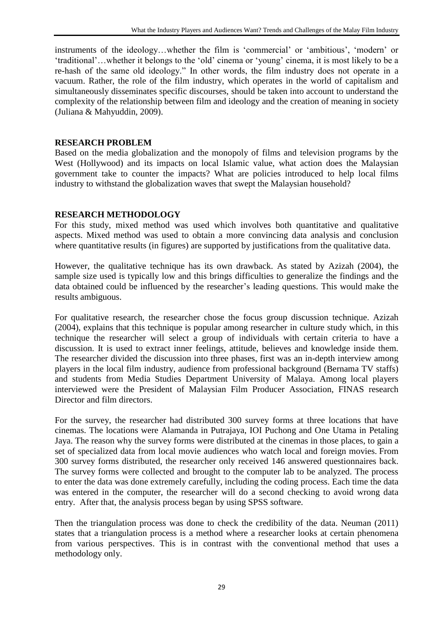instruments of the ideology...whether the film is 'commercial' or 'ambitious', 'modern' or "traditional"…whether it belongs to the "old" cinema or "young" cinema, it is most likely to be a re-hash of the same old ideology." In other words, the film industry does not operate in a vacuum. Rather, the role of the film industry, which operates in the world of capitalism and simultaneously disseminates specific discourses, should be taken into account to understand the complexity of the relationship between film and ideology and the creation of meaning in society (Juliana & Mahyuddin, 2009).

## **RESEARCH PROBLEM**

Based on the media globalization and the monopoly of films and television programs by the West (Hollywood) and its impacts on local Islamic value, what action does the Malaysian government take to counter the impacts? What are policies introduced to help local films industry to withstand the globalization waves that swept the Malaysian household?

# **RESEARCH METHODOLOGY**

For this study, mixed method was used which involves both quantitative and qualitative aspects. Mixed method was used to obtain a more convincing data analysis and conclusion where quantitative results (in figures) are supported by justifications from the qualitative data.

However, the qualitative technique has its own drawback. As stated by Azizah (2004), the sample size used is typically low and this brings difficulties to generalize the findings and the data obtained could be influenced by the researcher's leading questions. This would make the results ambiguous.

For qualitative research, the researcher chose the focus group discussion technique. Azizah (2004), explains that this technique is popular among researcher in culture study which, in this technique the researcher will select a group of individuals with certain criteria to have a discussion. It is used to extract inner feelings, attitude, believes and knowledge inside them. The researcher divided the discussion into three phases, first was an in-depth interview among players in the local film industry, audience from professional background (Bernama TV staffs) and students from Media Studies Department University of Malaya. Among local players interviewed were the President of Malaysian Film Producer Association, FINAS research Director and film directors.

For the survey, the researcher had distributed 300 survey forms at three locations that have cinemas. The locations were Alamanda in Putrajaya, IOI Puchong and One Utama in Petaling Jaya. The reason why the survey forms were distributed at the cinemas in those places, to gain a set of specialized data from local movie audiences who watch local and foreign movies. From 300 survey forms distributed, the researcher only received 146 answered questionnaires back. The survey forms were collected and brought to the computer lab to be analyzed. The process to enter the data was done extremely carefully, including the coding process. Each time the data was entered in the computer, the researcher will do a second checking to avoid wrong data entry. After that, the analysis process began by using SPSS software.

Then the triangulation process was done to check the credibility of the data. Neuman (2011) states that a triangulation process is a method where a researcher looks at certain phenomena from various perspectives. This is in contrast with the conventional method that uses a methodology only.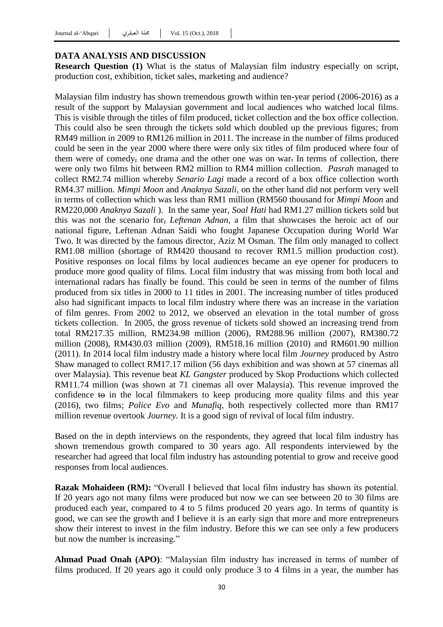### **DATA ANALYSIS AND DISCUSSION**

**Research Question (1)** What is the status of Malaysian film industry especially on script, production cost, exhibition, ticket sales, marketing and audience?

Malaysian film industry has shown tremendous growth within ten-year period (2006-2016) as a result of the support by Malaysian government and local audiences who watched local films. This is visible through the titles of film produced, ticket collection and the box office collection. This could also be seen through the tickets sold which doubled up the previous figures; from RM49 million in 2009 to RM126 million in 2011. The increase in the number of films produced could be seen in the year 2000 where there were only six titles of film produced where four of them were of comedy, one drama and the other one was on war. In terms of collection, there were only two films hit between RM2 million to RM4 million collection. *Pasrah* managed to collect RM2.74 million whereby *Senario Lagi* made a record of a box office collection worth RM4.37 million. *Mimpi Moon* and *Anaknya Sazali,* on the other hand did not perform very well in terms of collection which was less than RM1 million (RM560 thousand for *Mimpi Moon* and RM220,000 *Anaknya Sazali* ). In the same year, *Soal Hati* had RM1.27 million tickets sold but this was not the scenario for, *Leftenan Adnan*, a film that showcases the heroic act of our national figure, Leftenan Adnan Saidi who fought Japanese Occupation during World War Two. It was directed by the famous director, Aziz M Osman. The film only managed to collect RM1.08 million (shortage of RM420 thousand to recover RM1.5 million production cost). Positive responses on local films by local audiences became an eye opener for producers to produce more good quality of films. Local film industry that was missing from both local and international radars has finally be found. This could be seen in terms of the number of films produced from six titles in 2000 to 11 titles in 2001. The increasing number of titles produced also had significant impacts to local film industry where there was an increase in the variation of film genres. From 2002 to 2012, we observed an elevation in the total number of gross tickets collection. In 2005, the gross revenue of tickets sold showed an increasing trend from total RM217.35 million, RM234.98 million (2006), RM288.96 million (2007), RM380.72 million (2008), RM430.03 million (2009), RM518.16 million (2010) and RM601.90 million (2011). In 2014 local film industry made a history where local film *Journey* produced by Astro Shaw managed to collect RM17.17 milion (56 days exhibition and was shown at 57 cinemas all over Malaysia). This revenue beat *KL Gangster* produced by Skop Productions which collected RM11.74 million (was shown at 71 cinemas all over Malaysia). This revenue improved the confidence to in the local filmmakers to keep producing more quality films and this year (2016), two films; *Police Evo* and *Munafiq*, both respectively collected more than RM17 million revenue overtook *Journey*. It is a good sign of revival of local film industry.

Based on the in depth interviews on the respondents, they agreed that local film industry has shown tremendous growth compared to 30 years ago. All respondents interviewed by the researcher had agreed that local film industry has astounding potential to grow and receive good responses from local audiences.

**Razak Mohaideen (RM):** "Overall I believed that local film industry has shown its potential. If 20 years ago not many films were produced but now we can see between 20 to 30 films are produced each year, compared to 4 to 5 films produced 20 years ago. In terms of quantity is good, we can see the growth and I believe it is an early sign that more and more entrepreneurs show their interest to invest in the film industry. Before this we can see only a few producers but now the number is increasing."

**Ahmad Puad Onah (APO)**: "Malaysian film industry has increased in terms of number of films produced. If 20 years ago it could only produce 3 to 4 films in a year, the number has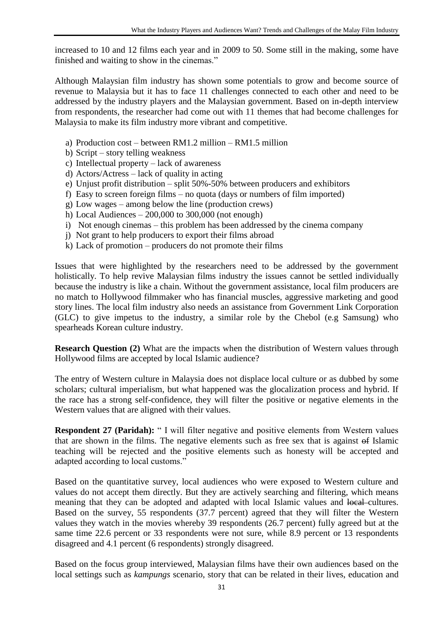increased to 10 and 12 films each year and in 2009 to 50. Some still in the making, some have finished and waiting to show in the cinemas."

Although Malaysian film industry has shown some potentials to grow and become source of revenue to Malaysia but it has to face 11 challenges connected to each other and need to be addressed by the industry players and the Malaysian government. Based on in-depth interview from respondents, the researcher had come out with 11 themes that had become challenges for Malaysia to make its film industry more vibrant and competitive.

- a) Production cost between RM1.2 million RM1.5 million
- b) Script story telling weakness
- c) Intellectual property lack of awareness
- d) Actors/Actress lack of quality in acting
- e) Unjust profit distribution split 50%-50% between producers and exhibitors
- f) Easy to screen foreign films no quota (days or numbers of film imported)
- g) Low wages among below the line (production crews)
- h) Local Audiences  $-200,000$  to 300,000 (not enough)
- i) Not enough cinemas this problem has been addressed by the cinema company
- j) Not grant to help producers to export their films abroad
- k) Lack of promotion producers do not promote their films

Issues that were highlighted by the researchers need to be addressed by the government holistically. To help revive Malaysian films industry the issues cannot be settled individually because the industry is like a chain. Without the government assistance, local film producers are no match to Hollywood filmmaker who has financial muscles, aggressive marketing and good story lines. The local film industry also needs an assistance from Government Link Corporation (GLC) to give impetus to the industry, a similar role by the Chebol (e.g Samsung) who spearheads Korean culture industry.

**Research Question (2)** What are the impacts when the distribution of Western values through Hollywood films are accepted by local Islamic audience?

The entry of Western culture in Malaysia does not displace local culture or as dubbed by some scholars; cultural imperialism, but what happened was the glocalization process and hybrid. If the race has a strong self-confidence, they will filter the positive or negative elements in the Western values that are aligned with their values.

**Respondent 27 (Paridah):** " I will filter negative and positive elements from Western values that are shown in the films. The negative elements such as free sex that is against of Islamic teaching will be rejected and the positive elements such as honesty will be accepted and adapted according to local customs."

Based on the quantitative survey, local audiences who were exposed to Western culture and values do not accept them directly. But they are actively searching and filtering, which means meaning that they can be adopted and adapted with local Islamic values and local cultures. Based on the survey, 55 respondents (37.7 percent) agreed that they will filter the Western values they watch in the movies whereby 39 respondents (26.7 percent) fully agreed but at the same time 22.6 percent or 33 respondents were not sure, while 8.9 percent or 13 respondents disagreed and 4.1 percent (6 respondents) strongly disagreed.

Based on the focus group interviewed, Malaysian films have their own audiences based on the local settings such as *kampungs* scenario, story that can be related in their lives, education and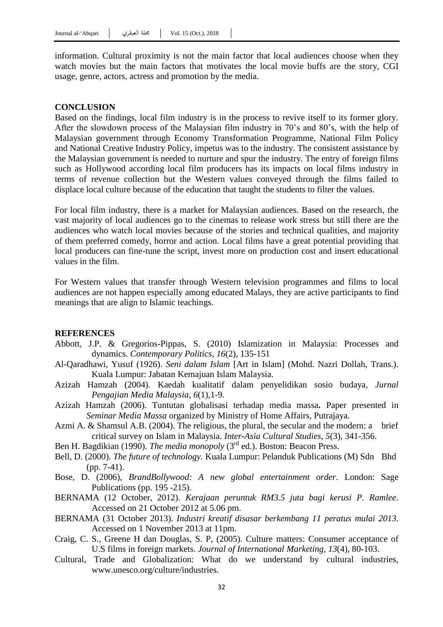information. Cultural proximity is not the main factor that local audiences choose when they watch movies but the main factors that motivates the local movie buffs are the story, CGI usage, genre, actors, actress and promotion by the media.

### **CONCLUSION**

Based on the findings, local film industry is in the process to revive itself to its former glory. After the slowdown process of the Malaysian film industry in 70"s and 80"s, with the help of Malaysian government through Economy Transformation Programme, National Film Policy and National Creative Industry Policy, impetus was to the industry. The consistent assistance by the Malaysian government is needed to nurture and spur the industry. The entry of foreign films such as Hollywood according local film producers has its impacts on local films industry in terms of revenue collection but the Western values conveyed through the films failed to displace local culture because of the education that taught the students to filter the values.

For local film industry, there is a market for Malaysian audiences. Based on the research, the vast majority of local audiences go to the cinemas to release work stress but still there are the audiences who watch local movies because of the stories and technical qualities, and majority of them preferred comedy, horror and action. Local films have a great potential providing that local producers can fine-tune the script, invest more on production cost and insert educational values in the film.

For Western values that transfer through Western television programmes and films to local audiences are not happen especially among educated Malays, they are active participants to find meanings that are align to Islamic teachings.

### **REFERENCES**

- Abbott, J.P. & Gregorios-Pippas, S. (2010) Islamization in Malaysia: Processes and dynamics. *Contemporary Politics*, *16*(2), 135-151
- Al-Qaradhawi, Yusuf (1926). *Seni dalam Islam* [Art in Islam] (Mohd. Nazri Dollah, Trans.). Kuala Lumpur: Jabatan Kemajuan Islam Malaysia.
- Azizah Hamzah (2004). Kaedah kualitatif dalam penyelidikan sosio budaya*, Jurnal Pengajian Media Malaysia, 6*(1),1-9.
- Azizah Hamzah (2006). Tuntutan globalisasi terhadap media massa**.** Paper presented in *Seminar Media Massa* organized by Ministry of Home Affairs, Putrajaya.
- Azmi A. & Shamsul A.B. (2004). The religious, the plural, the secular and the modern: a brief critical survey on Islam in Malaysia. *Inter-Asia Cultural Studies*, *5*(3), 341-356.
- Ben H. Bagdikian (1990). *The media monopoly* (3<sup>rd</sup> ed.). Boston: Beacon Press.
- Bell, D. (2000). *The future of technology.* Kuala Lumpur: Pelanduk Publications (M) Sdn Bhd (pp. 7-41).
- Bose, D. (2006), *BrandBollywood: A new global entertainment order*. London: Sage Publications (pp. 195 -215).
- BERNAMA (12 October, 2012). *Kerajaan peruntuk RM3.5 juta bagi kerusi P. Ramlee*. Accessed on 21 October 2012 at 5.06 pm.
- BERNAMA (31 October 2013). *Industri kreatif disasar berkembang 11 peratus mulai 2013*. Accessed on 1 November 2013 at 11pm.
- Craig, C. S., Greene H dan Douglas, S. P, (2005). Culture matters: Consumer acceptance of U.S films in foreign markets. *Journal of International Marketing, 13*(4), 80-103.
- Cultural, Trade and Globalization: What do we understand by cultural industries, www.unesco.org/culture/industries.